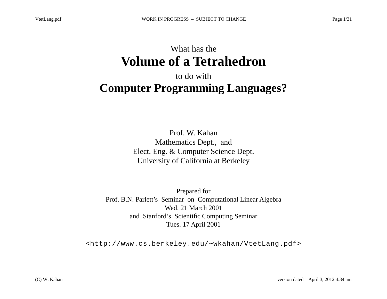## What has the **Volume of a Tetrahedron**

## to do with **Computer Programming Languages?**

Prof. W. Kahan Mathematics Dept., and Elect. Eng. & Computer Science Dept. University of California at Berkeley

Prepared for Prof. B.N. Parlett's Seminar on Computational Linear Algebra Wed. 21 March 2001 and Stanford's Scientific Computing Seminar Tues. 17 April 2001

<http://www.cs.berkeley.edu/~wkahan/VtetLang.pdf>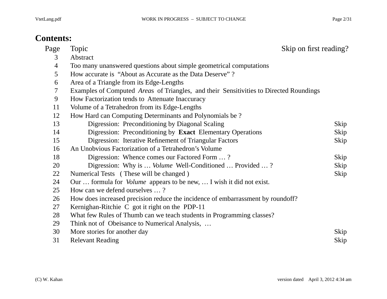#### **Contents:**

| Page   | Skip on first reading?<br>Topic                                                        |      |
|--------|----------------------------------------------------------------------------------------|------|
| 3      | Abstract                                                                               |      |
| 4      | Too many unanswered questions about simple geometrical computations                    |      |
| 5      | How accurate is "About as Accurate as the Data Deserve"?                               |      |
| 6      | Area of a Triangle from its Edge-Lengths                                               |      |
| $\tau$ | Examples of Computed Areas of Triangles, and their Sensitivities to Directed Roundings |      |
| 9      | How Factorization tends to Attenuate Inaccuracy                                        |      |
| 11     | Volume of a Tetrahedron from its Edge-Lengths                                          |      |
| 12     | How Hard can Computing Determinants and Polynomials be?                                |      |
| 13     | Digression: Preconditioning by Diagonal Scaling                                        | Skip |
| 14     | Digression: Preconditioning by Exact Elementary Operations                             | Skip |
| 15     | Digression: Iterative Refinement of Triangular Factors                                 | Skip |
| 16     | An Unobvious Factorization of a Tetrahedron's Volume                                   |      |
| 18     | Digression: Whence comes our Factored Form ?                                           | Skip |
| 20     | Digression: Why is <i>Volume</i> Well-Conditioned  Provided ?                          | Skip |
| 22     | Numerical Tests (These will be changed)                                                | Skip |
| 24     | Our  formula for <i>Volume</i> appears to be new,  I wish it did not exist.            |      |
| 25     | How can we defend ourselves ?                                                          |      |
| 26     | How does increased precision reduce the incidence of embarrassment by roundoff?        |      |
| 27     | Kernighan-Ritchie C got it right on the PDP-11                                         |      |
| 28     | What few Rules of Thumb can we teach students in Programming classes?                  |      |
| 29     | Think not of Obeisance to Numerical Analysis,                                          |      |
| 30     | More stories for another day                                                           | Skip |
| 31     | <b>Relevant Reading</b>                                                                | Skip |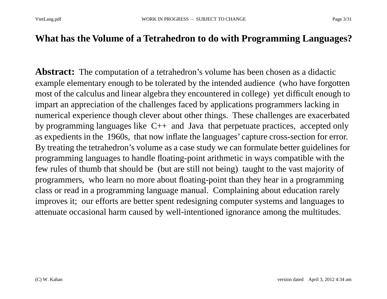#### **What has the Volume of a Tetrahedron to do with Programming Languages?**

**Abstract:** The computation of a tetrahedron's volume has been chosen as a didactic example elementary enough to be tolerated by the intended audience (who have forgotten most of the calculus and linear algebra they encountered in college) yet difficult enough to impart an appreciation of the challenges faced by applications programmers lacking in numerical experience though clever about other things. These challenges are exacerbated by programming languages like C++ and Java that perpetuate practices, accepted only as expedients in the 1960s, that now inflate the languages' capture cross-section for error. By treating the tetrahedron's volume as a case study we can formulate better guidelines for programming languages to handle floating-point arithmetic in ways compatible with the few rules of thumb that should be (but are still not being) taught to the vast majority of programmers, who learn no more about floating-point than they hear in a programming class or read in a programming language manual. Complaining about education rarely improves it; our efforts are better spent redesigning computer systems and languages to attenuate occasional harm caused by well-intentioned ignorance among the multitudes.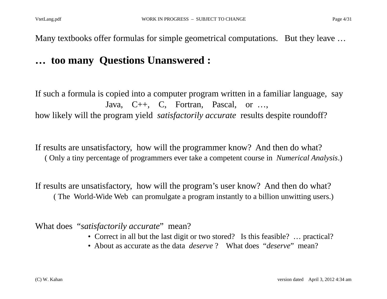Many textbooks offer formulas for simple geometrical computations. But they leave ...

## **… too many Questions Unanswered :**

If such a formula is copied into a computer program written in a familiar language, say Java, C++, C, Fortran, Pascal, or …, how likely will the program yield *satisfactorily accurate* results despite roundoff?

If results are unsatisfactory, how will the programmer know? And then do what? ( Only a tiny percentage of programmers ever take a competent course in *Numerical Analysis*.)

If results are unsatisfactory, how will the program's user know? And then do what? ( The World-Wide Web can promulgate a program instantly to a billion unwitting users.)

What does "*satisfactorily accurate*" mean?

- Correct in all but the last digit or two stored? Is this feasible? … practical?
- About as accurate as the data *deserve* ? What does "*deserve*" mean?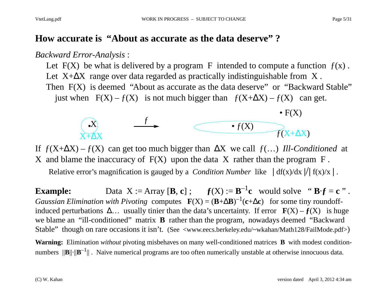#### **How accurate is "About as accurate as the data deserve" ?**

#### *Backward Error-Analysis* :

Let  $F(X)$  be what is delivered by a program F intended to compute a function  $f(x)$ . Let  $X + \Delta X$  range over data regarded as practically indistinguishable from X. Then F(X) is deemed "About as accurate as the data deserve" or "Backward Stable" just when  $F(X) - f(X)$  is not much bigger than  $f(X + \Delta X) - f(X)$  can get.



If  $f(X+\Delta X) - f(X)$  can get too much bigger than  $\Delta X$  we call  $f(...)$  Ill-Conditioned at X and blame the inaccuracy of  $F(X)$  upon the data X rather than the program  $F$ .

Relative error's magnification is gauged by a *Condition Number* like  $| df(x)/dx |/ | f(x)/x |$ .

**Example:** Data  $X := \text{Array } [\mathbf{B}, \mathbf{c}]$ ;  $f(X) := \mathbf{B}^{-1} \mathbf{c}$  would solve " $\mathbf{B} \cdot \mathbf{f} = \mathbf{c}$ ". *Gaussian Elimination with Pivoting* computes  $F(X) = (B + \Delta B)^{-1}(c + \Delta c)$  for some tiny roundoffinduced perturbations  $\Delta$ ... usually tinier than the data's uncertainty. If error  $F(X) - f(X)$  is huge we blame an "ill-conditioned" matrix **B** rather than the program, nowadays deemed "Backward Stable" though on rare occasions it isn't. (See <www.eecs.berkeley.edu/~wkahan/Math128/FailMode.pdf>)

**Warning:** Elimination *without* pivoting misbehaves on many well-conditioned matrices **B** with modest conditionnumbers  $\|\mathbf{B}\| \cdot \|\mathbf{B}^{-1}\|$ . Naive numerical programs are too often numerically unstable at otherwise innocuous data.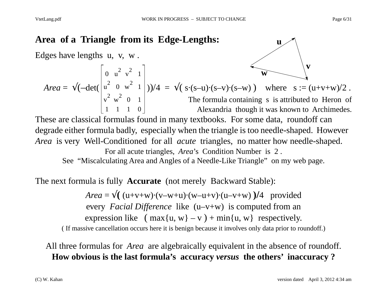**u**

#### **Area of a Triangle from its Edge-Lengths:**

Edges have lengths u, v, w .

Area = 
$$
\sqrt{(-det(\begin{bmatrix} 0 & u^2 & v^2 & 1 \\ u^2 & 0 & w^2 & 1 \\ v^2 & w^2 & 0 & 1 \\ 1 & 1 & 1 & 0 \end{bmatrix})/4} = \sqrt{(s \cdot (s-u) \cdot (s-v) \cdot (s-w))}
$$
 where  $s := (u+v+w)/2$ .  
The formula containing *s* is attributed to Heron of Alexandria though it was known to Archimedes.

These are classical formulas found in many textbooks. For some data, roundoff can degrade either formula badly, especially when the triangle is too needle-shaped. However *Area* is very Well-Conditioned for all *acute* triangles, no matter how needle-shaped. For all acute triangles, *Area*'s Condition Number is 2 .

See "Miscalculating Area and Angles of a Needle-Like Triangle" on my web page.

The next formula is fully **Accurate** (not merely Backward Stable):

 $Area = \sqrt{(u+v+w) \cdot (v-w+u) \cdot (w-u+v) \cdot (u-v+w)}$  )/4 provided every *Facial Difference* like (u–v+w) is computed from an expression like  $(\max\{u, w\} - v) + \min\{u, w\}$  respectively. ( If massive cancellation occurs here it is benign because it involves only data prior to roundoff.)

#### All three formulas for *Area* are algebraically equivalent in the absence of roundoff. **How obvious is the last formula's accuracy** *versus* **the others' inaccuracy ?**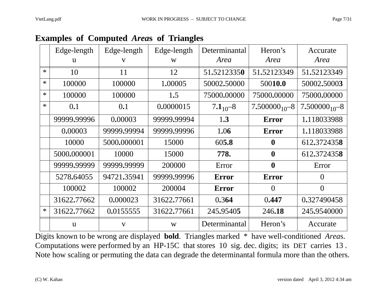|  |  | <b>Examples of Computed Areas of Triangles</b> |  |  |  |
|--|--|------------------------------------------------|--|--|--|
|--|--|------------------------------------------------|--|--|--|

|        | Edge-length<br>$\mathbf{u}$ | Edge-length<br>V | Edge-length<br>W | Determinantal<br>Area | Heron's<br>Area     | Accurate<br>Area    |
|--------|-----------------------------|------------------|------------------|-----------------------|---------------------|---------------------|
| $\ast$ | 10                          | 11               | 12               | 51,52123350           | 51,52123349         | 51,52123349         |
| $\ast$ | 100000                      | 100000           | 1.00005          | 50002,50000           | 50010.0             | 50002.50003         |
| $\ast$ | 100000                      | 100000           | 1.5              | 75000.00000           | 75000.00000         | 75000.00000         |
| $\ast$ | 0.1                         | 0.1              | 0.0000015        | $7.1_{10} - 8$        | $7.500000_{10} - 8$ | $7.500000_{10} - 8$ |
|        | 99999.99996                 | 0.00003          | 99999.99994      | 1.3                   | <b>Error</b>        | 1.118033988         |
|        | 0.00003                     | 99999.99994      | 99999.99996      | 1.06                  | <b>Error</b>        | 1.118033988         |
|        | 10000                       | 5000.000001      | 15000            | 605.8                 | $\mathbf 0$         | 612.3724358         |
|        | 5000.000001                 | 10000            | 15000            | 778.                  | $\boldsymbol{0}$    | 612.3724358         |
|        | 99999.99999                 | 99999.99999      | 200000           | Error                 | $\boldsymbol{0}$    | Error               |
|        | 5278.64055                  | 94721.35941      | 99999.99996      | <b>Error</b>          | <b>Error</b>        | $\theta$            |
|        | 100002                      | 100002           | 200004           | <b>Error</b>          | $\Omega$            | $\theta$            |
|        | 31622.77662                 | 0.000023         | 31622.77661      | 0.364                 | 0.447               | 0.327490458         |
| $\ast$ | 31622.77662                 | 0.0155555        | 31622.77661      | 245,95405             | 246.18              | 245,9540000         |
|        | $\mathbf{u}$                | $\mathbf{V}$     | W                | Determinantal         | Heron's             | Accurate            |

Digits known to be wrong are displayed **bold**. Triangles marked \* have well-conditioned *Area*s. Computations were performed by an HP-15C that stores 10 sig. dec. digits; its DET carries 13 . Note how scaling or permuting the data can degrade the determinantal formula more than the others.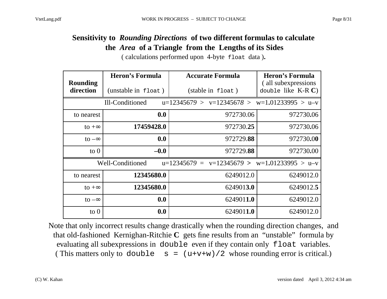#### **Sensitivity to** *Rounding Directions* **of two different formulas to calculate the** *Area* **of a Triangle from the Lengths of its Sides**

( calculations performed upon 4-byte float data )**.**

| <b>Rounding</b> | <b>Heron's Formula</b>                                                    | <b>Accurate Formula</b>                        | <b>Heron's Formula</b>                        |  |  |  |  |
|-----------------|---------------------------------------------------------------------------|------------------------------------------------|-----------------------------------------------|--|--|--|--|
| direction       | (unstable in float)                                                       | (stable in float)                              | (all subexpressions)<br>double like $K-R C$ ) |  |  |  |  |
|                 | Ill-Conditioned                                                           | $u=12345679 > v=12345678 > w=1.01233995 > u-v$ |                                               |  |  |  |  |
| to nearest      | 0.0                                                                       | 972730.06                                      | 972730.06                                     |  |  |  |  |
| to $+\infty$    | 17459428.0                                                                | 972730.25                                      | 972730.06                                     |  |  |  |  |
| to $-\infty$    | 0.0                                                                       | 972729.88                                      | 972730.00                                     |  |  |  |  |
| to $0$          | $-0.0$                                                                    | 972729.88                                      | 972730.00                                     |  |  |  |  |
|                 | Well-Conditioned<br>$v=12345679$ > $w=1.01233995$ > u-v<br>$u=12345679$ = |                                                |                                               |  |  |  |  |
| to nearest      | 12345680.0                                                                | 6249012.0                                      | 6249012.0                                     |  |  |  |  |
| to $+\infty$    | 12345680.0                                                                | 6249013.0                                      | 6249012.5                                     |  |  |  |  |
| to $-\infty$    | 0.0                                                                       | 6249011.0                                      | 6249012.0                                     |  |  |  |  |
| $\circ$ 0       | 0.0                                                                       | 6249011.0                                      | 6249012.0                                     |  |  |  |  |

Note that only incorrect results change drastically when the rounding direction changes, and that old-fashioned Kernighan-Ritchie **C** gets fine results from an "unstable" formula by evaluating all subexpressions in double even if they contain only float variables. (This matters only to double  $s = (u+v+w)/2$  whose rounding error is critical.)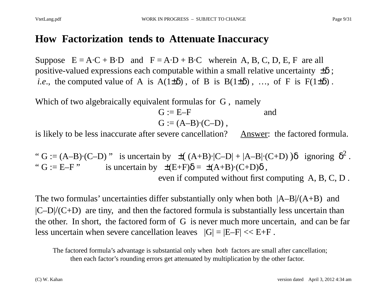#### **How Factorization tends to Attenuate Inaccuracy**

Suppose  $E = A \cdot C + B \cdot D$  and  $F = A \cdot D + B \cdot C$  wherein A, B, C, D, E, F are all positive-valued expressions each computable within a small relative uncertainty  $\pm \delta$ ; *i.e.*, the computed value of A is  $A(1\pm\delta)$ , of B is  $B(1\pm\delta)$ , ..., of F is  $F(1\pm\delta)$ .

Which of two algebraically equivalent formulas for G, namely

$$
G := E-F
$$
 and  

$$
G := (A-B) \cdot (C-D),
$$

is likely to be less inaccurate after severe cancellation? Answer: the factored formula.

" G := (A–B) $\cdot$ (C–D)" is uncertain by  $\pm ( (A+B)\cdot |C-D| + |A-B|\cdot (C+D) )\delta$  ignoring  $\delta^2$ . " G := E–F " is uncertain by  $\pm(E+F)\delta = \pm(A+B)\cdot(C+D)\delta$ , even if computed without first computing A, B, C, D .

The two formulas' uncertainties differ substantially only when both  $|A-B|/(A+B)$  and  $|C-D|/ (C+D)$  are tiny, and then the factored formula is substantially less uncertain than the other. In short, the factored form of G is never much more uncertain, and can be far less uncertain when severe cancellation leaves  $|G| = |E-F| \ll E+F$ .

The factored formula's advantage is substantial only when *both* factors are small after cancellation; then each factor's rounding errors get attenuated by multiplication by the other factor.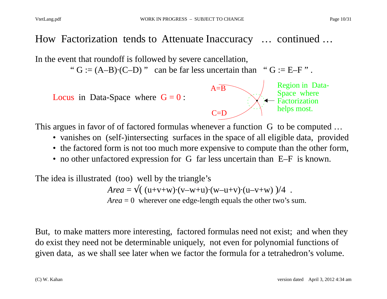### How Factorization tends to Attenuate Inaccuracy … continued …

In the event that roundoff is followed by severe cancellation,

"  $G := (A-B) \cdot (C-D)$ " can be far less uncertain than " $G := E-F$ ".

Locus in Data-Space where  $G = 0$ :



This argues in favor of of factored formulas whenever a function G to be computed …

- vanishes on (self-)intersecting surfaces in the space of all eligible data, provided
- the factored form is not too much more expensive to compute than the other form,
- no other unfactored expression for G far less uncertain than E–F is known.

The idea is illustrated (too) well by the triangle's  $Area = \sqrt{(u+v+w)(v-w+u)(w-u+v)(u-v+w)}$  )/4. *Area* = 0 wherever one edge-length equals the other two's sum.

But, to make matters more interesting, factored formulas need not exist; and when they do exist they need not be determinable uniquely, not even for polynomial functions of given data, as we shall see later when we factor the formula for a tetrahedron's volume.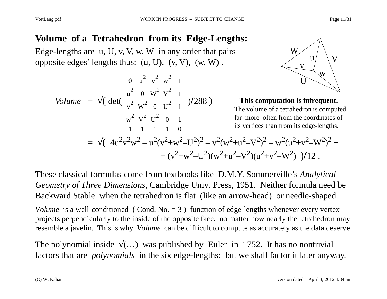#### **Volume of a Tetrahedron from its Edge-Lengths:**

Edge-lengths are u, U, v, V, w, W in any order that pairs opposite edges' lengths thus:  $(u, U)$ ,  $(v, V)$ ,  $(w, W)$ .

Volume = 
$$
\sqrt{\det(\begin{bmatrix} 0 & u^2 & v^2 & w^2 & 1 \\ u^2 & 0 & W^2 & V^2 & 1 \\ v^2 & W^2 & 0 & U^2 & 1 \\ w^2 & V^2 & U^2 & 0 & 1 \\ 1 & 1 & 1 & 1 & 0 \end{bmatrix})/288}
$$



 **This computation is infrequent.** The volume of a tetrahedron is computed far more often from the coordinates of its vertices than from its edge-lengths.

$$
= \sqrt{(4u^2v^2w^2 - u^2(v^2+w^2-U^2)^2 - v^2(w^2+u^2-V^2)^2 - w^2(u^2+v^2-W^2)^2 + (v^2+w^2-U^2)(w^2+u^2-V^2)(u^2+v^2-W^2)} )/12.
$$

These classical formulas come from textbooks like D.M.Y. Sommerville's *Analytical Geometry of Three Dimensions*, Cambridge Univ. Press, 1951. Neither formula need be Backward Stable when the tetrahedron is flat (like an arrow-head) or needle-shaped.

*Volume* is a well-conditioned (Cond. No.  $= 3$ ) function of edge-lengths whenever every vertex projects perpendicularly to the inside of the opposite face, no matter how nearly the tetrahedron may resemble a javelin. This is why *Volume* can be difficult to compute as accurately as the data deserve.

The polynomial inside  $\sqrt{(...)}$  was published by Euler in 1752. It has no nontrivial factors that are *polynomials* in the six edge-lengths; but we shall factor it later anyway.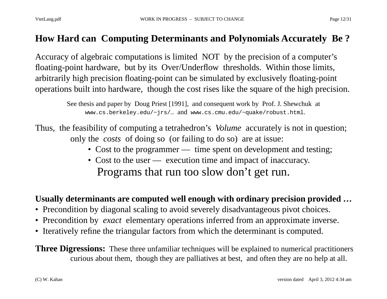#### **How Hard can Computing Determinants and Polynomials Accurately Be ?**

Accuracy of algebraic computations is limited NOT by the precision of a computer's floating-point hardware, but by its Over/Underflow thresholds. Within those limits, arbitrarily high precision floating-point can be simulated by exclusively floating-point operations built into hardware, though the cost rises like the square of the high precision.

> See thesis and paper by Doug Priest [1991], and consequent work by Prof. J. Shewchuk at www.cs.berkeley.edu/~jrs/… and www.cs.cmu.edu/~quake/robust.html.

Thus, the feasibility of computing a tetrahedron's *Volume* accurately is not in question; only the *costs* of doing so (or failing to do so) are at issue:

- Cost to the programmer time spent on development and testing;
- Cost to the user execution time and impact of inaccuracy. Programs that run too slow don't get run.

#### **Usually determinants are computed well enough with ordinary precision provided …**

- Precondition by diagonal scaling to avoid severely disadvantageous pivot choices.
- Precondition by *exact* elementary operations inferred from an approximate inverse.
- Iteratively refine the triangular factors from which the determinant is computed.

**Three Digressions:** These three unfamiliar techniques will be explained to numerical practitioners curious about them, though they are palliatives at best, and often they are no help at all.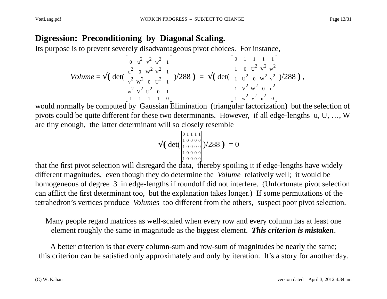#### **Digression: Preconditioning by Diagonal Scaling.**

Its purpose is to prevent severely disadvantageous pivot choices. For instance,

Volume = 
$$
\sqrt{\left(\det\begin{bmatrix} 0 & u^2 & v^2 & w^2 & 1 \\ u^2 & 0 & w^2 & v^2 & 1 \\ v^2 & w^2 & 0 & u^2 & 1 \\ w^2 & v^2 & 0 & 1 & 1 \end{bmatrix}\right)}/288
$$
 =  $\sqrt{\left(\det\begin{bmatrix} 0 & 1 & 1 & 1 & 1 \\ 1 & 0 & u^2 & v^2 & w^2 \\ 1 & u^2 & 0 & w^2 & v^2 \\ 1 & v^2 & w^2 & 0 & u^2 \\ 1 & w^2 & v^2 & u^2 & 0 \end{bmatrix}}\right)}/288$ ),

would normally be computed by Gaussian Elimination (triangular factorization) but the selection of pivots could be quite different for these two determinants. However, if all edge-lengths u, U, …, W are tiny enough, the latter determinant will so closely resemble

$$
\sqrt{\left(\det\begin{pmatrix} 0 & 1 & 1 & 1 \\ 1 & 0 & 0 & 0 \\ 1 & 0 & 0 & 0 \\ 1 & 0 & 0 & 0 \\ 1 & 0 & 0 & 0 \\ 1 & 0 & 0 & 0 \end{pmatrix}}\right)}/288 \big) = 0
$$

that the first pivot selection will disregard the data, thereby spoiling it if edge-lengths have widely different magnitudes, even though they do determine the *Volume* relatively well; it would be homogeneous of degree 3 in edge-lengths if roundoff did not interfere. (Unfortunate pivot selection can afflict the first determinant too, but the explanation takes longer.) If some permutations of the tetrahedron's vertices produce *Volume*s too different from the others, suspect poor pivot selection.

Many people regard matrices as well-scaled when every row and every column has at least one element roughly the same in magnitude as the biggest element. *This criterion is mistaken*.

A better criterion is that every column-sum and row-sum of magnitudes be nearly the same; this criterion can be satisfied only approximately and only by iteration. It's a story for another day.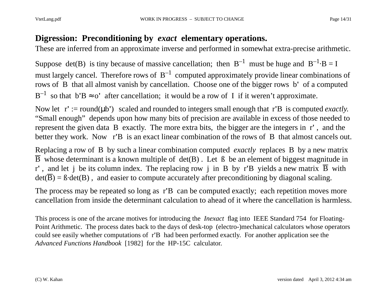#### **Digression: Preconditioning by** *exact* **elementary operations.**

These are inferred from an approximate inverse and performed in somewhat extra-precise arithmetic.

Suppose det(B) is tiny because of massive cancellation; then  $B^{-1}$  must be huge and  $B^{-1} \cdot B = I$ must largely cancel. Therefore rows of  $B^{-1}$  computed approximately provide linear combinations of rows of B that all almost vanish by cancellation. Choose one of the bigger rows b**'** of a computed  $B^{-1}$  so that  $b'B \approx o'$  after cancellation; it would be a row of I if it weren't approximate.

Now let  $r' := round(\mu b')$  scaled and rounded to integers small enough that r'B is computed *exactly*. "Small enough" depends upon how many bits of precision are available in excess of those needed to represent the given data B exactly. The more extra bits, the bigger are the integers in r**'** , and the better they work. Now r**'**B is an exact linear combination of the rows of B that almost cancels out.

Replacing a row of B by such a linear combination computed *exactly* replaces B by a new matrix  $\overline{B}$  whose determinant is a known multiple of det(B). Let  $\beta$  be an element of biggest magnitude in r', and let j be its column index. The replacing row j in B by r'B yields a new matrix  $\overline{B}$  with  $det(\overline{B}) = B \cdot det(B)$ , and easier to compute accurately after preconditioning by diagonal scaling.

The process may be repeated so long as r**'**B can be computed exactly; each repetition moves more cancellation from inside the determinant calculation to ahead of it where the cancellation is harmless.

This process is one of the arcane motives for introducing the *Inexact* flag into IEEE Standard 754 for Floating-Point Arithmetic. The process dates back to the days of desk-top (electro-)mechanical calculators whose operators could see easily whether computations of r**'**B had been performed exactly. For another application see the *Advanced Functions Handbook* [1982] for the HP-15C calculator.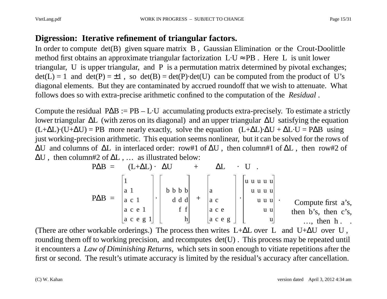#### **Digression: Iterative refinement of triangular factors.**

In order to compute det(B) given square matrix B , Gaussian Elimination or the Crout-Doolittle method first obtains an approximate triangular factorization L·U <sup>≈</sup> PB . Here L is unit lower triangular, U is upper triangular, and P is a permutation matrix determined by pivotal exchanges;  $det(L) = 1$  and  $det(P) = \pm 1$ , so  $det(B) = det(P) \cdot det(U)$  can be computed from the product of U's diagonal elements. But they are contaminated by accrued roundoff that we wish to attenuate. What follows does so with extra-precise arithmetic confined to the computation of the *Residual* .

Compute the residual  $P\Delta B := PB - L \cdot U$  accumulating products extra-precisely. To estimate a strictly lower triangular ∆L (with zeros on its diagonal) and an upper triangular ∆U satisfying the equation  $(L+\Delta L)\cdot(U+\Delta U) = PB$  more nearly exactly, solve the equation  $(L+\Delta L)\cdot \Delta U + \Delta L \cdot U = P \Delta B$  using just working-precision arithmetic. This equation seems nonlinear, but it can be solved for the rows of  $\Delta U$  and columns of  $\Delta L$  in interlaced order: row#1 of  $\Delta U$ , then column#1 of  $\Delta L$ , then row#2 of ∆U , then column#2 of ∆L , … as illustrated below:

$$
P\Delta B = (L+\Delta L) \cdot \Delta U + \Delta L \cdot U.
$$
  
\n
$$
P\Delta B = \begin{bmatrix} 1 \\ a & 1 \\ a & c & 1 \\ a & c & e & 1 \\ a & c & e & g & 1 \end{bmatrix} \cdot \begin{bmatrix} 1 & 0 & 0 & 0 \\ 0 & 1 & 0 & 0 & 0 \\ 0 & 0 & 0 & 0 & 0 \\ 0 & 0 & 0 & 0 & 0 \\ 0 & 0 & 0 & 0 & 0 \\ 0 & 0 & 0 & 0 & 0 \\ 0 & 0 & 0 & 0 & 0 \end{bmatrix} + \begin{bmatrix} 0 & 0 & 0 & 0 & 0 \\ 0 & 0 & 0 & 0 & 0 \\ 0 & 0 & 0 & 0 & 0 \\ 0 & 0 & 0 & 0 & 0 \\ 0 & 0 & 0 & 0 & 0 \\ 0 & 0 & 0 & 0 & 0 \\ 0 & 0 & 0 & 0 & 0 \\ 0 & 0 & 0 & 0 & 0 \\ 0 & 0 & 0 & 0 & 0 \\ 0 & 0 & 0 & 0 & 0 \end{bmatrix}.
$$
 Compute first a's, then b's, then c's,

(There are other workable orderings.) The process then writes  $L+\Delta L$  over L and U+ $\Delta U$  over U, rounding them off to working precision, and recomputes det(U). This process may be repeated until it encounters a *Law of Diminishing Returns*, which sets in soon enough to vitiate repetitions after the first or second. The result's utimate accuracy is limited by the residual's accuracy after cancellation.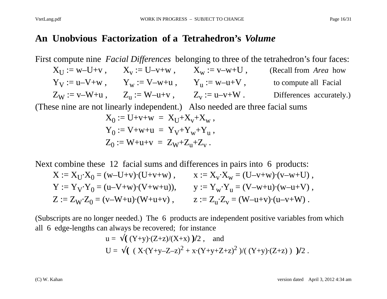#### **An Unobvious Factorization of a Tetrahedron's** *Volume*

First compute nine *Facial Differences* belonging to three of the tetrahedron's four faces:  $X_U := w-U+v$ ,  $X_v := U-v+w$ ,  $X_w := v-w+U$ , (Recall from *Area* how  $Y_V := u - V + w$ ,  $Y_w := V - w + u$ ,  $Y_u := w - u + V$ , to compute all Facial  $Z_W := v-W+u$ ,  $Z_u := W-u+v$ ,  $Z_v := u-v+W$ . Differences accurately.) (These nine are not linearly independent.) Also needed are three facial sums  $\rm X_{0}:=U+ v+ w \ = \ X_{U}+ X_{v} + X_{w} \ ,$  ${\rm Y}_0:={\rm V}$ +w+u =  ${\rm Y}_{\rm V}$ + ${\rm Y}_{\rm w}$ + ${\rm Y}_{\rm u}$  ,  ${\rm Z}_{\rm 0} := {\rm W}$ +u+v =  ${\rm Z}_{\rm W}$ + ${\rm Z}_{\rm u}$ + ${\rm Z}_{\rm v}$  .

Next combine these 12 facial sums and differences in pairs into 6 products:

$$
X := X_U \cdot X_0 = (w - U + v) \cdot (U + v + w) , \qquad x := X_v \cdot X_w = (U - v + w) \cdot (v - w + U) ,
$$
  
\n
$$
Y := Y_V \cdot Y_0 = (u - V + w) \cdot (V + w + u)), \qquad y := Y_w \cdot Y_u = (V - w + u) \cdot (w - u + V) ,
$$
  
\n
$$
Z := Z_W \cdot Z_0 = (v - W + u) \cdot (W + u + v) , \qquad z := Z_u \cdot Z_v = (W - u + v) \cdot (u - v + W) .
$$

(Subscripts are no longer needed.) The 6 products are independent positive variables from which all 6 edge-lengths can always be recovered; for instance

u = 
$$
\sqrt{(Y+y)\cdot(Z+z)/(X+x)}/2
$$
, and  
U =  $\sqrt{(X\cdot(Y+y-Z-z)^2 + x\cdot(Y+y+Z+z)^2}/((Y+y)\cdot(Z+z))}/2$ .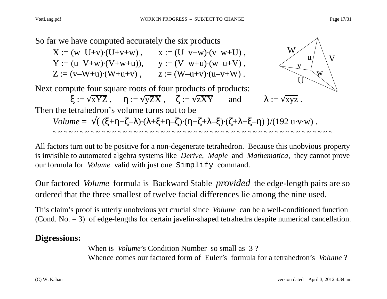So far we have computed accurately the six products

$$
X := (w-U+v) \cdot (U+v+w) , \t x := (U-v+w) \cdot (v-w+U) ,
$$
  
\n
$$
Y := (u-V+w) \cdot (V+w+u) ), \t y := (V-w+u) \cdot (w-u+V) ,
$$
  
\n
$$
Z := (v-W+u) \cdot (W+u+v) , \t z := (W-u+v) \cdot (u-v+W) .
$$

Next compute four square roots of four products of products:

 $\xi := \sqrt{\text{XYZ}}$ ,  $\eta := \sqrt{\text{yZX}}$ ,  $\zeta := \sqrt{\text{zXY}}$  and



 $\lambda := \sqrt{{\rm xyz}}$  .

Then the tetrahedron's volume turns out to be

$$
Volume = \sqrt{((\xi + \eta + \zeta - \lambda) \cdot (\lambda + \xi + \eta - \zeta) \cdot (\eta + \zeta + \lambda - \xi) \cdot (\zeta + \lambda + \xi - \eta))}/(192 \text{ u} \cdot \text{v} \cdot \text{w})}.
$$

All factors turn out to be positive for a non-degenerate tetrahedron. Because this unobvious property is invisible to automated algebra systems like *Derive*, *Maple* and *Mathematica*, they cannot prove our formula for *Volume* valid with just one Simplify command.

Our factored *Volume* formula is Backward Stable *provided* the edge-length pairs are so ordered that the three smallest of twelve facial differences lie among the nine used.

This claim's proof is utterly unobvious yet crucial since *Volume* can be a well-conditioned function (Cond. No. = 3) of edge-lengths for certain javelin-shaped tetrahedra despite numerical cancellation.

#### **Digressions:**

When is *Volume*'s Condition Number so small as 3 ? Whence comes our factored form of Euler's formula for a tetrahedron's *Volume* ?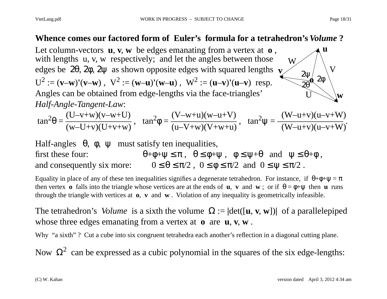#### **Whence comes our factored form of Euler's formula for a tetrahedron's** *Volume* **?**

Let column-vectors **<sup>u</sup>**, **v**, **<sup>w</sup>** be edges emanating from a vertex at **o** , with lengths u, v, w respectively; and let the angles between those edges be 2θ, 2φ, 2ψ as shown opposite edges with squared lengths **v**  $U^2 := (v-w)'(v-w) , \quad V^2 := (w-u)'(w-u) , \quad W^2 := (u-v)'(u-v)$  resp. Angles can be obtained from edge-lengths via the face-triangles' *Half-Angle-Tangent* W

Angles can be obtained from edge-lengths via the face-triangles' 
$$
U \setminus W
$$
  
Half-Angle-Tangent-Law:  

$$
\tan^2 \theta = \frac{(U-v+w)(v-w+U)}{(w-U+v)(U+v+w)}, \quad \tan^2 \phi = \frac{(V-w+u)(w-u+V)}{(u-V+w)(V+w+u)}, \quad \tan^2 \psi = \frac{(W-u+v)(u-v+W)}{(W-u+v)(u-v+W)}.
$$

Half-angles 
$$
\theta
$$
,  $\phi$ ,  $\psi$  must satisfy ten inequalities,  
first these four:  $\theta + \phi + \psi \le \pi$ ,  $\theta \le \phi + \psi$ ,  $\phi \le \psi + \theta$  and  $\psi \le \theta + \phi$ ,  
and consequently six more:  $0 \le \theta \le \pi/2$ ,  $0 \le \phi \le \pi/2$  and  $0 \le \psi \le \pi/2$ .

Equality in place of any of these ten inequalities signifies a degenerate tetrahedron. For instance, if  $\theta + \phi + \psi = \pi$ then vertex **o** falls into the triangle whose vertices are at the ends of **u**, **v** and **w**; or if  $\theta = \phi + \psi$  then **u** runs through the triangle with vertices at **o**, **<sup>v</sup>** and **<sup>w</sup>** . Violation of any inequality is geometrically infeasible.

The tetrahedron's *Volume* is a sixth the volume  $\Omega := |\det([\mathbf{u}, \mathbf{v}, \mathbf{w}])|$  of a parallelepiped whose three edges emanating from a vertex at **o** are **u**, **v**, **w** .

Why "a sixth"? Cut a cube into six congruent tetrahedra each another's reflection in a diagonal cutting plane.

Now  $\Omega^2$  can be expressed as a cubic polynomial in the squares of the six edge-lengths:

**u**

 $2\Psi$ 

V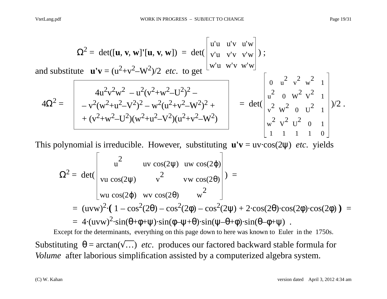$$
\Omega^{2} = \det([\mathbf{u}, \mathbf{v}, \mathbf{w}']'[\mathbf{u}, \mathbf{v}, \mathbf{w}]) = \det(\begin{bmatrix} u'u & u'v & u'w \ v'u & v'v & v'w \ w'u & w'v & v'w \end{bmatrix});
$$
  
and substitute  $\mathbf{u'v} = (u^{2}+v^{2}-W^{2})/2$  etc. to get  $\begin{bmatrix} w'u & w'v & w'w \ w'u & w'v & w'w \end{bmatrix}$ ;  

$$
4\Omega^{2} = \begin{bmatrix} 4u^{2}v^{2}w^{2} - u^{2}(v^{2}+w^{2}-U^{2})^{2} - \\ -v^{2}(w^{2}+u^{2}-V^{2})^{2} - w^{2}(u^{2}+v^{2}-W^{2})^{2} + \\ + (v^{2}+w^{2}-U^{2})(w^{2}+u^{2}-V^{2})(u^{2}+v^{2}-W^{2}) \end{bmatrix} = \det(\begin{bmatrix} 0 & u^{2} & v^{2} & w^{2} & 1 \\ u^{2} & 0 & w^{2} & v^{2} & 1 \\ v^{2} & w^{2} & 0 & U^{2} & 1 \\ v^{2} & v^{2} & 0 & 1 & 1 \\ w^{2} & v^{2} & U^{2} & 0 & 1 \\ u^{2} & v^{2} & U^{2} & 0 & 1 \end{bmatrix})/2.
$$

This polynomial is irreducible. However, substituting **u'v** = uv·cos(2 ψ) *etc*. yields

$$
\Omega^{2} = \det(\begin{vmatrix} u^{2} & uv \cos(2\psi) & uv \cos(2\phi) \\ vu \cos(2\psi) & v^{2} & vw \cos(2\theta) \\ xu \cos(2\phi) & uv \cos(2\theta) & w^{2} \end{vmatrix}) =
$$
  
=  $(uvw)^{2} \cdot (1 - \cos^{2}(2\theta) - \cos^{2}(2\phi) - \cos^{2}(2\psi) + 2 \cdot \cos(2\theta) \cdot \cos(2\phi) \cdot \cos(2\phi)) =$   
=  $4 \cdot (uvw)^{2} \cdot \sin(\theta + \phi + \psi) \cdot \sin(\phi - \psi + \theta) \cdot \sin(\psi - \theta + \phi) \cdot \sin(\theta - \phi + \psi)$ .

Except for the determinants, everything on this page down to here was known to Euler in the 1750s. Substituting  $\theta = \arctan(\sqrt{...})$  *etc.* produces our factored backward stable formula for *Volume* after laborious simplification assisted by a computerized algebra system.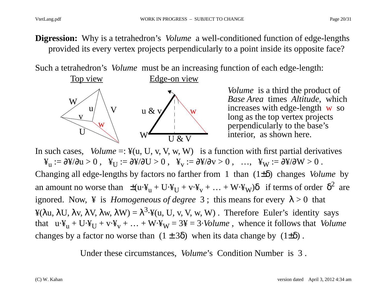**Digression:** Why is a tetrahedron's *Volume* a well-conditioned function of edge-lengths provided its every vertex projects perpendicularly to a point inside its opposite face?

Such a tetrahedron's *Volume* must be an increasing function of each edge-length:



*Volume* is a third the product of *Base Area* times *Altitude*, which increases with edge-length w so long as the top vertex projects perpendicularly to the base's interior, as shown here.

In such cases, *Volume* =:  $\mathcal{F}(u, U, v, V, w, W)$  is a function with first partial derivatives  $\mathbf{F}_{\mathbf{u}}:=\partial\mathbf{\hat{x}}/\partial\mathbf{u}>0\;,\;\;\mathbf{\hat{x}}_{\mathbf{U}}:=\partial\mathbf{\hat{x}}/\partial\mathbf{U}>0\;,\;\;\;\mathbf{\hat{x}}_{\mathbf{v}}:=\partial\mathbf{\hat{x}}/\partial\mathbf{v}>0\;,\;\;\;\ldots,\;\;\;\mathbf{\hat{x}}_{\mathbf{W}}:=\partial\mathbf{\hat{x}}/\partial\mathbf{W}>0\;.$ Changing all edge-lengths by factors no farther from 1 than (1±δ) changes *Volume* by an amount no worse than  $\pm (u \cdot \Psi_u + U \cdot \Psi_U + v \cdot \Psi_v + ... + W \cdot \Psi_W) \delta$  if terms of order  $\delta^2$  are ignored. Now,  $\angle$  is *Homogeneous of degree* 3; this means for every  $\lambda > 0$  that ¥(λu, λU, λv, λV, λw, λW) =  $\lambda^3$ ·¥(u, U, v, V, w, W). Therefore Euler's identity says that  $u \cdot \Psi_u + U \cdot \Psi_V + v \cdot \Psi_V + ... + W \cdot \Psi_W = 3\Psi = 3 \cdot Volume$ , whence it follows that *Volume* changes by a factor no worse than  $(1 \pm 3\delta)$  when its data change by  $(1\pm\delta)$ .

Under these circumstances, *Volume*'s Condition Number is 3 .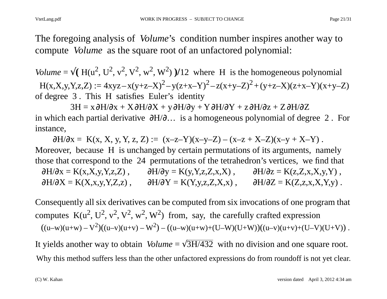The foregoing analysis of *Volume*'s condition number inspires another way to compute *Volume* as the square root of an unfactored polynomial:

*Volume* =  $\sqrt{(H(u^2, U^2, v^2, v^2, w^2, W^2)})/12$  where H is the homogeneous polynomial  $H(x, X, y, Y, z, Z) := 4xyz - x(y + z - X)^2 - y(z + x - Y)^2 - z(x + y - Z)^2 + (y + z - X)(z + x - Y)(x + y - Z)$ of degree 3 . This H satisfies Euler's identity

3H = x ∂H/ ∂x + X ∂H/ ∂X + y ∂H/ ∂y + Y ∂H/ ∂Y + z ∂H/ ∂z + Z ∂H/ ∂ Z in which each partial derivative  $\partial H/\partial \dots$  is a homogeneous polynomial of degree 2. For instance,

 $\partial H/\partial x = K(x, X, y, Y, z, Z) := (x-z-Y)(x-y-Z) - (x-z+X-Z)(x-y+X-Y)$ . Moreover, because H is unchanged by certain permutations of its arguments, namely those that correspond to the 24 permutations of the tetrahedron's vertices, we find that  $\partial H/\partial x = K(x,X,y,Y,z,Z)$ ,  $\partial H/\partial y = K(y,Y,z,Z,x,X)$ ,  $\partial H/\partial z = K(z,Z,x,X,y,Y)$ ,  $\partial H/\partial X = K(X, x, y, Y, Z, z)$ ,  $\partial H/\partial Y = K(Y, y, z, Z, X, x)$ ,  $\partial H/\partial Z = K(Z, z, x, X, Y, y)$ .

Consequently all six derivatives can be computed from six invocations of one program that computes  $K(u^2, U^2, v^2, V^2, w^2, W^2)$  from, say, the carefully crafted expression  $((u-w)(u+w)-V^2)((u-v)(u+v)-W^2)-((u-w)(u+w)+(U-W)(U+W))((u-v)(u+v)+(U-V)(U+V))$  .

It yields another way to obtain *Volume* =  $\sqrt{3H/432}$  with no division and one square root. Why this method suffers less than the other unfactored expressions do from roundoff is not yet clear.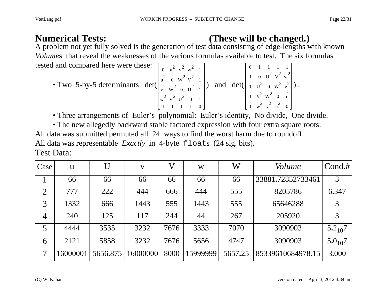## **Numerical Tests: (These will be changed.)**

A problem not yet fully solved is the generation of test data consisting of edge-lengths with known *Volume*s that reveal the weaknesses of the various formulas available to test. The six formulas tested and compared here were these:  $\begin{bmatrix} 0 & u^2 & v^2 & w^2 & 1 \end{bmatrix}$   $\begin{bmatrix} 0 & 1 & 1 & 1 & 1 \end{bmatrix}$ 

• Two 5-by-5 determinants det 
$$
\begin{pmatrix} 0 & u^2 & v^2 & w^2 & 1 \\ u^2 & 0 & w^2 & v^2 & 1 \\ v^2 & w^2 & 0 & u^2 & 1 \\ v^2 & v^2 & 0 & u^2 & 1 \\ u^2 & v^2 & v^2 & 0 & 1 \\ 1 & 1 & 1 & 1 & 0 \end{pmatrix}
$$
 and det  $\begin{pmatrix} 1 & 0 & u^2 & v^2 & w^2 \\ 1 & 0 & u^2 & v^2 & w^2 \\ 1 & u^2 & 0 & w^2 & v^2 \\ 1 & w^2 & v^2 & u^2 & 0 \end{pmatrix}$ .

• Three arrangements of Euler's polynomial: Euler's identity, No divide, One divide.

• The new allegedly backward stable factored expression with four extra square roots. All data was submitted permuted all 24 ways to find the worst harm due to roundoff. All data was representable *Exactly* in 4-byte floats (24 sig. bits). Test Data:

| Case           | $\mathbf{u}$ | $\mathbf{U}$ | V        | $\bf V$ | W        | W       | <i>Volume</i>     | Cond.#      |
|----------------|--------------|--------------|----------|---------|----------|---------|-------------------|-------------|
|                | 66           | 66           | 66       | 66      | 66       | 66      | 33881.72852733461 | 3           |
| $\overline{2}$ | 777          | 222          | 444      | 666     | 444      | 555     | 8205786           | 6.347       |
| 3              | 1332         | 666          | 1443     | 555     | 1443     | 555     | 65646288          | 3           |
| $\overline{4}$ | 240          | 125          | 117      | 244     | 44       | 267     | 205920            | 3           |
| 5              | 4444         | 3535         | 3232     | 7676    | 3333     | 7070    | 3090903           | $5.2_{10}7$ |
| 6              | 2121         | 5858         | 3232     | 7676    | 5656     | 4747    | 3090903           | $5.0_{10}7$ |
| $\overline{7}$ | 16000001     | 5656.875     | 16000000 | 8000    | 15999999 | 5657.25 | 85339610684978.15 | 3.000       |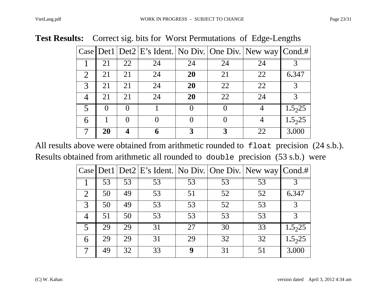2 21 21 24 **20** 21 22 6**.**347

3 21 21 24 **20** 22 22 3

4 21 21 24 **20** 22 24 3

5 00 1 0 0 4 1**.**5

6 10 0 0 0 4 1**.**5

7 **20 4 6 3 3** 22 3**.**000

| <b>St Results:</b> Correct sig. bits for worst Permutations of Edge-Lengths |  |                        |  |                                                                               |    |    |    |  |  |
|-----------------------------------------------------------------------------|--|------------------------|--|-------------------------------------------------------------------------------|----|----|----|--|--|
|                                                                             |  |                        |  | $ {\rm Case} $ Det1 $ {\rm Det2} $ E's Ident. No Div. One Div. New way Cond.# |    |    |    |  |  |
|                                                                             |  | $\frac{1}{21}$ 21 22 1 |  | 24                                                                            | 24 | 24 | 24 |  |  |

| <b>Test Results:</b> Correct sig. bits for Worst Permutations of Edge-Lengths |  |  |  |  |  |
|-------------------------------------------------------------------------------|--|--|--|--|--|
|-------------------------------------------------------------------------------|--|--|--|--|--|

| All results above were obtained from arithmetic rounded to float precision (24 s.b.). |  |
|---------------------------------------------------------------------------------------|--|
| Results obtained from arithmetic all rounded to double precision (53 s.b.) were       |  |

|                |    |    |    |    |    | Case $ \text{Det1} $ $ \text{Det2} $ E's Ident. No Div. One Div. New way $ \text{Cond.#} $ |                     |
|----------------|----|----|----|----|----|--------------------------------------------------------------------------------------------|---------------------|
|                | 53 | 53 | 53 | 53 | 53 | $\overline{53}$                                                                            |                     |
| $\overline{2}$ | 50 | 49 | 53 | 51 | 52 | 52                                                                                         | 6.347               |
| 3              | 50 | 49 | 53 | 53 | 52 | 53                                                                                         | 3                   |
| 4              | 51 | 50 | 53 | 53 | 53 | 53                                                                                         | 3                   |
| $\overline{5}$ | 29 | 29 | 31 | 27 | 30 | 33                                                                                         | 1.5 <sub>2</sub> 25 |
| 6              | 29 | 29 | 31 | 29 | 32 | 32                                                                                         | 1.5225              |
|                | 49 | 32 | 33 | 9  | 31 | 51                                                                                         | 3.000               |

 $1.5<sub>2</sub>25$ 

 $1.5_225$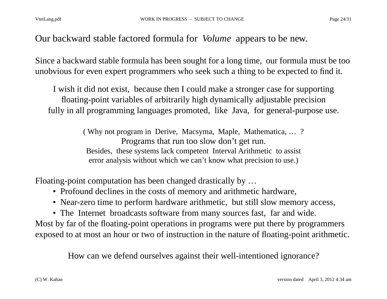#### Our backward stable factored formula for *Volume* appears to be new.

Since a backward stable formula has been sought for a long time, our formula must be too unobvious for even expert programmers who seek such a thing to be expected to find it.

I wish it did not exist, because then I could make a stronger case for supporting floating-point variables of arbitrarily high dynamically adjustable precision fully in all programming languages promoted, like Java, for general-purpose use.

> ( Why not program in Derive, Macsyma, Maple, Mathematica, … ? Programs that run too slow don't get run. Besides, these systems lack competent Interval Arithmetic to assist error analysis without which we can't know what precision to use.)

Floating-point computation has been changed drastically by …

- Profound declines in the costs of memory and arithmetic hardware,
- Near-zero time to perform hardware arithmetic, but still slow memory access,
- The Internet broadcasts software from many sources fast, far and wide.

Most by far of the floating-point operations in programs were put there by programmers exposed to at most an hour or two of instruction in the nature of floating-point arithmetic.

How can we defend ourselves against their well-intentioned ignorance?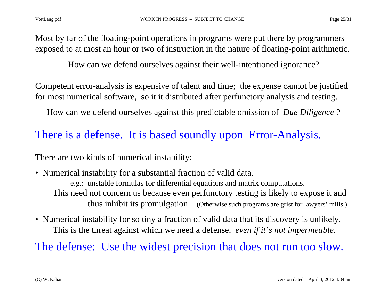How can we defend ourselves against their well-intentioned ignorance?

Competent error-analysis is expensive of talent and time; the expense cannot be justified for most numerical software, so it it distributed after perfunctory analysis and testing.

How can we defend ourselves against this predictable omission of *Due Diligence* ?

## There is a defense. It is based soundly upon Error-Analysis.

There are two kinds of numerical instability:

• Numerical instability for a substantial fraction of valid data. e.g.: unstable formulas for differential equations and matrix computations. This need not concern us because even perfunctory testing is likely to expose it and thus inhibit its promulgation. (Otherwise such programs are grist for lawyers' mills.)

• Numerical instability for so tiny a fraction of valid data that its discovery is unlikely. This is the threat against which we need a defense, *even if it's not impermeable*.

The defense: Use the widest precision that does not run too slow.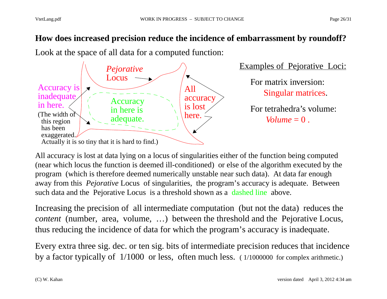#### **How does increased precision reduce the incidence of embarrassment by roundoff?**

Look at the space of all data for a computed function:



All accuracy is lost at data lying on a locus of singularities either of the function being computed (near which locus the function is deemed ill-conditioned) or else of the algorithm executed by the program (which is therefore deemed numerically unstable near such data). At data far enough away from this *Pejorative* Locus of singularities, the program's accuracy is adequate. Between such data and the Pejorative Locus is a threshold shown as a dashed line above.

Increasing the precision of all intermediate computation (but not the data) reduces the *content* (number, area, volume, ...) between the threshold and the Pejorative Locus, thus reducing the incidence of data for which the program's accuracy is inadequate.

Every extra three sig. dec. or ten sig. bits of intermediate precision reduces that incidence by a factor typically of 1/1000 or less, often much less. ( 1/1000000 for complex arithmetic.)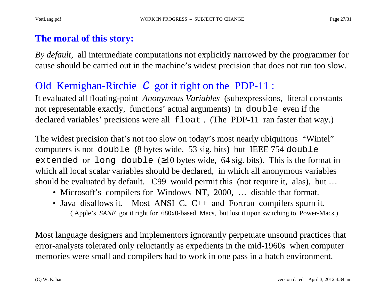#### **The moral of this story:**

*By default*, all intermediate computations not explicitly narrowed by the programmer for cause should be carried out in the machine's widest precision that does not run too slow.

## Old Kernighan-Ritchie C got it right on the PDP-11 :

It evaluated all floating-point *Anonymous Variables* (subexpressions, literal constants not representable exactly, functions' actual arguments) in double even if the declared variables' precisions were all float . (The PDP-11 ran faster that way.)

The widest precision that's not too slow on today's most nearly ubiquitous "Wintel" computers is not double (8 bytes wide, 53 sig. bits) but IEEE 754 double extended or long double ( ≥10 bytes wide, 64 sig. bits). This is the format in which all local scalar variables should be declared, in which all anonymous variables should be evaluated by default. C99 would permit this (not require it, alas), but …

- Microsoft's compilers for Windows NT, 2000, ... disable that format.
- Java disallows it. Most ANSI C, C++ and Fortran compilers spurn it. ( Apple's *SANE* got it right for 680x0-based Macs, but lost it upon switching to Power-Macs.)

Most language designers and implementors ignorantly perpetuate unsound practices that error-analysts tolerated only reluctantly as expedients in the mid-1960s when computer memories were small and compilers had to work in one pass in a batch environment.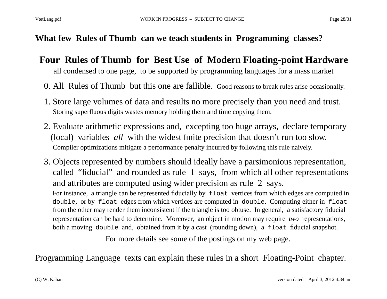#### **What few Rules of Thumb can we teach students in Programming classes?**

## **Four Rules of Thumb for Best Use of Modern Floating-point Hardware**

all condensed to one page, to be supported by programming languages for a mass market

- 0. All Rules of Thumb but this one are fallible. Good reasons to break rules arise occasionally.
- 1. Store large volumes of data and results no more precisely than you need and trust. Storing superfluous digits wastes memory holding them and time copying them.
- 2. Evaluate arithmetic expressions and, excepting too huge arrays, declare temporary (local) variables *all* with the widest finite precision that doesn't run too slow. Compiler optimizations mitigate a performance penalty incurred by following this rule naively.
- 3. Objects represented by numbers should ideally have a parsimonious representation, called "fiducial" and rounded as rule 1 says, from which all other representations and attributes are computed using wider precision as rule 2 says.

For instance, a triangle can be represented fiducially by float vertices from which edges are computed in double, or by float edges from which vertices are computed in double. Computing either in float from the other may render them inconsistent if the triangle is too obtuse. In general, a satisfactory fiducial representation can be hard to determine. Moreover, an object in motion may require *two* representations, both a moving double and, obtained from it by a cast (rounding down), a float fiducial snapshot.

For more details see some of the postings on my web page.

Programming Language texts can explain these rules in a short Floating-Point chapter.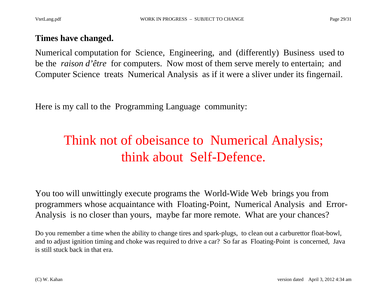#### **Times have changed.**

Numerical computation for Science, Engineering, and (differently) Business used to be the *raison d'être* for computers. Now most of them serve merely to entertain; and Computer Science treats Numerical Analysis as if it were a sliver under its fingernail.

Here is my call to the Programming Language community:

# Think not of obeisance to Numerical Analysis; think about Self-Defence.

You too will unwittingly execute programs the World-Wide Web brings you from programmers whose acquaintance with Floating-Point, Numerical Analysis and Error-Analysis is no closer than yours, maybe far more remote. What are your chances?

Do you remember a time when the ability to change tires and spark-plugs, to clean out a carburettor float-bowl, and to adjust ignition timing and choke was required to drive a car? So far as Floating-Point is concerned, Java is still stuck back in that era.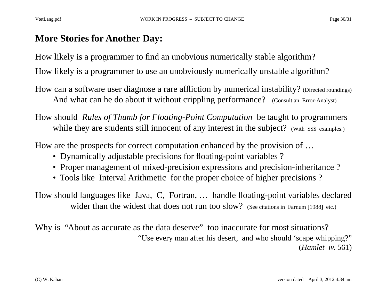#### **More Stories for Another Day:**

How likely is a programmer to find an unobvious numerically stable algorithm?

How likely is a programmer to use an unobviously numerically unstable algorithm?

- How can a software user diagnose a rare affliction by numerical instability? (Directed roundings) And what can he do about it without crippling performance? (Consult an Error-Analyst)
- How should *Rules of Thumb for Floating-Point Computation* be taught to programmers while they are students still innocent of any interest in the subject? (With \$\$\$ examples.)

How are the prospects for correct computation enhanced by the provision of …

- Dynamically adjustable precisions for floating-point variables ?
- Proper management of mixed-precision expressions and precision-inheritance ?
- Tools like Interval Arithmetic for the proper choice of higher precisions ?

How should languages like Java, C, Fortran, … handle floating-point variables declared wider than the widest that does not run too slow? (See citations in Farnum [1988] etc.)

Why is "About as accurate as the data deserve" too inaccurate for most situations? "Use every man after his desert, and who should 'scape whipping?" (*Hamlet iv*. 561)